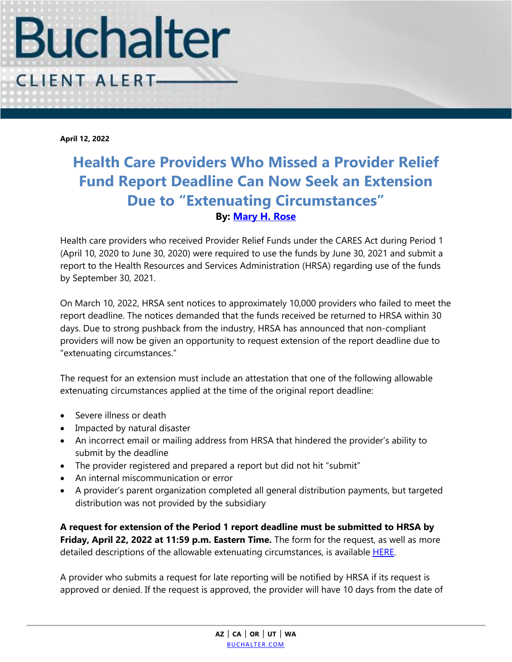

**April 12, 2022**

## **Health Care Providers Who Missed a Provider Relief Fund Report Deadline Can Now Seek an Extension Due to "Extenuating Circumstances" By: [Mary H. Rose](https://www.buchalter.com/attorneys/mary-h-rose/#bio)**

Health care providers who received Provider Relief Funds under the CARES Act during Period 1 (April 10, 2020 to June 30, 2020) were required to use the funds by June 30, 2021 and submit a report to the Health Resources and Services Administration (HRSA) regarding use of the funds by September 30, 2021.

On March 10, 2022, HRSA sent notices to approximately 10,000 providers who failed to meet the report deadline. The notices demanded that the funds received be returned to HRSA within 30 days. Due to strong pushback from the industry, HRSA has announced that non-compliant providers will now be given an opportunity to request extension of the report deadline due to "extenuating circumstances."

The request for an extension must include an attestation that one of the following allowable extenuating circumstances applied at the time of the original report deadline:

- Severe illness or death
- Impacted by natural disaster
- An incorrect email or mailing address from HRSA that hindered the provider's ability to submit by the deadline
- The provider registered and prepared a report but did not hit "submit"
- An internal miscommunication or error
- A provider's parent organization completed all general distribution payments, but targeted distribution was not provided by the subsidiary

**A request for extension of the Period 1 report deadline must be submitted to HRSA by Friday, April 22, 2022 at 11:59 p.m. Eastern Time.** The form for the request, as well as more detailed descriptions of the allowable extenuating circumstances, is available **HERE**.

A provider who submits a request for late reporting will be notified by HRSA if its request is approved or denied. If the request is approved, the provider will have 10 days from the date of